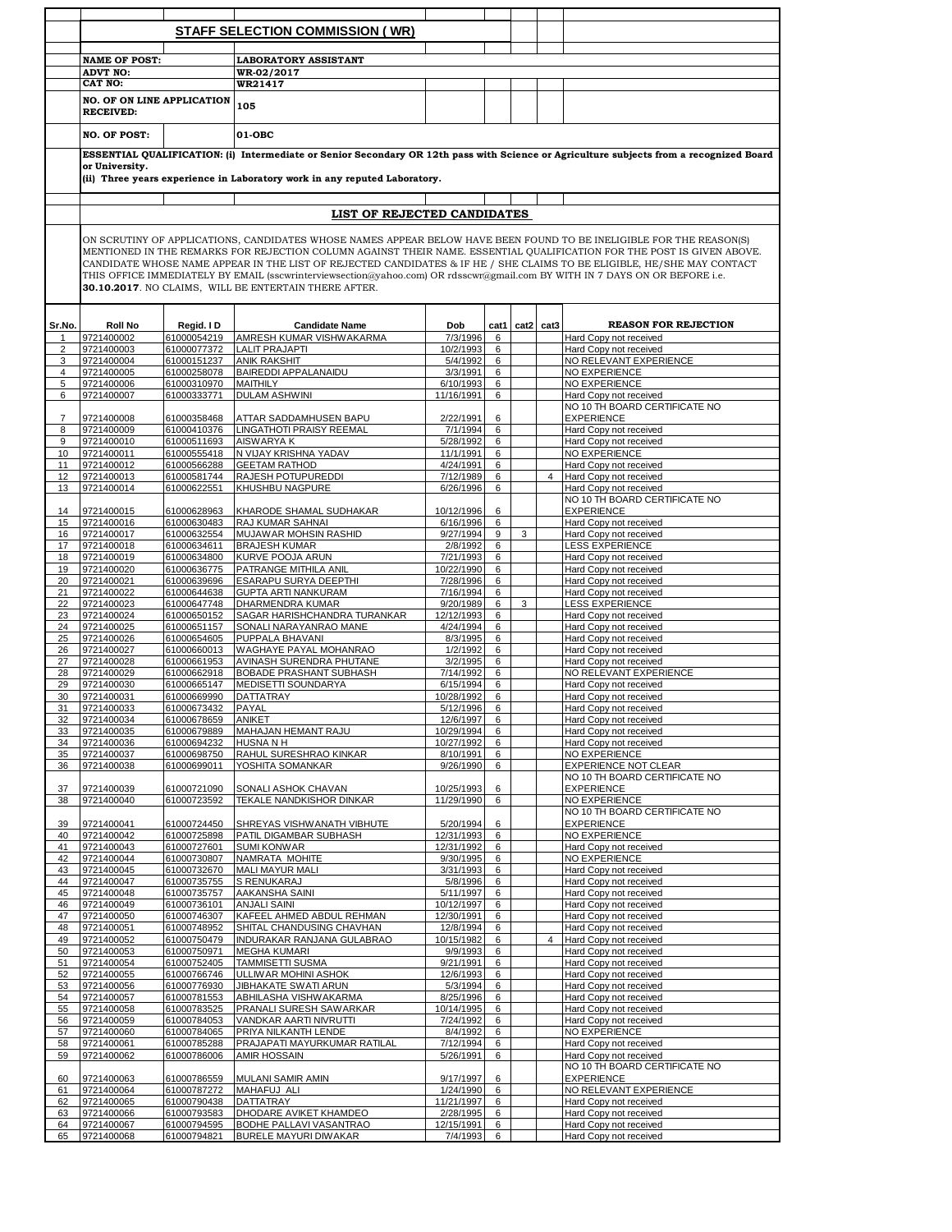|                |                                                                                                                                                                                                                                                                                                                                                                                                                                                                                                                                                                 |                            | STAFF SELECTION COMMISSION (WR)                                           |                         |        |      |                |                                                                                                                                         |  |  |  |
|----------------|-----------------------------------------------------------------------------------------------------------------------------------------------------------------------------------------------------------------------------------------------------------------------------------------------------------------------------------------------------------------------------------------------------------------------------------------------------------------------------------------------------------------------------------------------------------------|----------------------------|---------------------------------------------------------------------------|-------------------------|--------|------|----------------|-----------------------------------------------------------------------------------------------------------------------------------------|--|--|--|
|                |                                                                                                                                                                                                                                                                                                                                                                                                                                                                                                                                                                 |                            |                                                                           |                         |        |      |                |                                                                                                                                         |  |  |  |
|                | <b>NAME OF POST:</b><br><b>ADVT NO:</b>                                                                                                                                                                                                                                                                                                                                                                                                                                                                                                                         |                            | <b>LABORATORY ASSISTANT</b><br>WR-02/2017                                 |                         |        |      |                |                                                                                                                                         |  |  |  |
|                | <b>CAT NO:</b>                                                                                                                                                                                                                                                                                                                                                                                                                                                                                                                                                  |                            | WR21417                                                                   |                         |        |      |                |                                                                                                                                         |  |  |  |
|                |                                                                                                                                                                                                                                                                                                                                                                                                                                                                                                                                                                 |                            |                                                                           |                         |        |      |                |                                                                                                                                         |  |  |  |
|                | <b>NO. OF ON LINE APPLICATION</b><br><b>RECEIVED:</b>                                                                                                                                                                                                                                                                                                                                                                                                                                                                                                           |                            | 105                                                                       |                         |        |      |                |                                                                                                                                         |  |  |  |
|                | <b>NO. OF POST:</b>                                                                                                                                                                                                                                                                                                                                                                                                                                                                                                                                             |                            | 01-OBC                                                                    |                         |        |      |                |                                                                                                                                         |  |  |  |
|                | or University.                                                                                                                                                                                                                                                                                                                                                                                                                                                                                                                                                  |                            |                                                                           |                         |        |      |                | ESSENTIAL QUALIFICATION: (i) Intermediate or Senior Secondary OR 12th pass with Science or Agriculture subjects from a recognized Board |  |  |  |
|                |                                                                                                                                                                                                                                                                                                                                                                                                                                                                                                                                                                 |                            | (ii) Three years experience in Laboratory work in any reputed Laboratory. |                         |        |      |                |                                                                                                                                         |  |  |  |
|                |                                                                                                                                                                                                                                                                                                                                                                                                                                                                                                                                                                 |                            |                                                                           |                         |        |      |                |                                                                                                                                         |  |  |  |
|                |                                                                                                                                                                                                                                                                                                                                                                                                                                                                                                                                                                 |                            | LIST OF REJECTED CANDIDATES                                               |                         |        |      |                |                                                                                                                                         |  |  |  |
|                | ON SCRUTINY OF APPLICATIONS, CANDIDATES WHOSE NAMES APPEAR BELOW HAVE BEEN FOUND TO BE INELIGIBLE FOR THE REASON(S)<br>MENTIONED IN THE REMARKS FOR REJECTION COLUMN AGAINST THEIR NAME. ESSENTIAL QUALIFICATION FOR THE POST IS GIVEN ABOVE.<br>CANDIDATE WHOSE NAME APPEAR IN THE LIST OF REJECTED CANDIDATES & IF HE / SHE CLAIMS TO BE ELIGIBLE, HE/SHE MAY CONTACT<br>THIS OFFICE IMMEDIATELY BY EMAIL (sscwrinterviewsection@yahoo.com) OR rdsscwr@gmail.com BY WITH IN 7 DAYS ON OR BEFORE i.e.<br>30.10.2017. NO CLAIMS, WILL BE ENTERTAIN THERE AFTER. |                            |                                                                           |                         |        |      |                |                                                                                                                                         |  |  |  |
| Sr.No.         | Roll No                                                                                                                                                                                                                                                                                                                                                                                                                                                                                                                                                         | Regid. I D                 | <b>Candidate Name</b>                                                     | Dob                     | cat1   | cat2 | cat3           | <b>REASON FOR REJECTION</b>                                                                                                             |  |  |  |
| 1              | 9721400002                                                                                                                                                                                                                                                                                                                                                                                                                                                                                                                                                      | 61000054219                | AMRESH KUMAR VISHWAKARMA                                                  | 7/3/1996                | 6      |      |                | Hard Copy not received                                                                                                                  |  |  |  |
| 2              | 9721400003                                                                                                                                                                                                                                                                                                                                                                                                                                                                                                                                                      | 61000077372                | <b>LALIT PRAJAPTI</b>                                                     | 10/2/1993               | 6      |      |                | Hard Copy not received                                                                                                                  |  |  |  |
| 3              | 9721400004                                                                                                                                                                                                                                                                                                                                                                                                                                                                                                                                                      | 61000151237                | <b>ANIK RAKSHIT</b>                                                       | 5/4/1992                | 6      |      |                | NO RELEVANT EXPERIENCE                                                                                                                  |  |  |  |
| $\overline{4}$ | 9721400005                                                                                                                                                                                                                                                                                                                                                                                                                                                                                                                                                      | 61000258078                | <b>BAIREDDI APPALANAIDU</b>                                               | 3/3/1991                | 6      |      |                | NO EXPERIENCE                                                                                                                           |  |  |  |
| 5              | 9721400006<br>9721400007                                                                                                                                                                                                                                                                                                                                                                                                                                                                                                                                        | 61000310970                | MAITHILY                                                                  | 6/10/1993<br>11/16/1991 | 6      |      |                | NO EXPERIENCE                                                                                                                           |  |  |  |
| 6              |                                                                                                                                                                                                                                                                                                                                                                                                                                                                                                                                                                 | 61000333771                | <b>DULAM ASHWINI</b>                                                      |                         | 6      |      |                | Hard Copy not received<br>NO 10 TH BOARD CERTIFICATE NO                                                                                 |  |  |  |
| 7              | 9721400008                                                                                                                                                                                                                                                                                                                                                                                                                                                                                                                                                      | 61000358468                | ATTAR SADDAMHUSEN BAPU                                                    | 2/22/1991               | 6      |      |                | <b>EXPERIENCE</b>                                                                                                                       |  |  |  |
| 8              | 9721400009                                                                                                                                                                                                                                                                                                                                                                                                                                                                                                                                                      | 61000410376                | LINGATHOTI PRAISY REEMAL                                                  | 7/1/1994                | 6      |      |                | Hard Copy not received                                                                                                                  |  |  |  |
| 9              | 9721400010                                                                                                                                                                                                                                                                                                                                                                                                                                                                                                                                                      | 61000511693                | AISWARYA K                                                                | 5/28/1992               | 6      |      |                | Hard Copy not received                                                                                                                  |  |  |  |
| 10             | 9721400011                                                                                                                                                                                                                                                                                                                                                                                                                                                                                                                                                      | 61000555418                | N VIJAY KRISHNA YADAV                                                     | 11/1/1991               | 6      |      |                | NO EXPERIENCE                                                                                                                           |  |  |  |
| 11             | 9721400012                                                                                                                                                                                                                                                                                                                                                                                                                                                                                                                                                      | 61000566288                | <b>GEETAM RATHOD</b>                                                      | 4/24/1991               | 6      |      |                | Hard Copy not received                                                                                                                  |  |  |  |
| 12             | 9721400013<br>9721400014                                                                                                                                                                                                                                                                                                                                                                                                                                                                                                                                        | 61000581744<br>61000622551 | RAJESH POTUPUREDDI                                                        | 7/12/1989<br>6/26/1996  | 6      |      | $\overline{4}$ | Hard Copy not received                                                                                                                  |  |  |  |
| 13             |                                                                                                                                                                                                                                                                                                                                                                                                                                                                                                                                                                 |                            | KHUSHBU NAGPURE                                                           |                         | 6      |      |                | Hard Copy not received<br>NO 10 TH BOARD CERTIFICATE NO                                                                                 |  |  |  |
| 14             | 9721400015                                                                                                                                                                                                                                                                                                                                                                                                                                                                                                                                                      | 61000628963                | KHARODE SHAMAL SUDHAKAR                                                   | 10/12/1996              | 6      |      |                | <b>EXPERIENCE</b>                                                                                                                       |  |  |  |
| 15             | 9721400016                                                                                                                                                                                                                                                                                                                                                                                                                                                                                                                                                      | 61000630483                | RAJ KUMAR SAHNAI                                                          | 6/16/1996               | 6      |      |                | Hard Copy not received                                                                                                                  |  |  |  |
| 16             | 9721400017                                                                                                                                                                                                                                                                                                                                                                                                                                                                                                                                                      | 61000632554                | MUJAWAR MOHSIN RASHID                                                     | 9/27/1994               | 9      | 3    |                | Hard Copy not received                                                                                                                  |  |  |  |
| 17             | 9721400018                                                                                                                                                                                                                                                                                                                                                                                                                                                                                                                                                      | 61000634611                | <b>BRAJESH KUMAR</b>                                                      | 2/8/1992                | 6      |      |                | LESS EXPERIENCE                                                                                                                         |  |  |  |
| 18             | 9721400019                                                                                                                                                                                                                                                                                                                                                                                                                                                                                                                                                      | 61000634800                | KURVE POOJA ARUN                                                          | 7/21/1993               | 6      |      |                | Hard Copy not received                                                                                                                  |  |  |  |
| 19<br>20       | 9721400020<br>9721400021                                                                                                                                                                                                                                                                                                                                                                                                                                                                                                                                        | 61000636775<br>61000639696 | PATRANGE MITHILA ANIL<br>ESARAPU SURYA DEEPTHI                            | 10/22/1990<br>7/28/1996 | 6<br>6 |      |                | Hard Copy not received<br>Hard Copy not received                                                                                        |  |  |  |
| 21             | 9721400022                                                                                                                                                                                                                                                                                                                                                                                                                                                                                                                                                      | 61000644638                | GUPTA ARTI NANKURAM                                                       | 7/16/1994               | 6      |      |                | Hard Copy not received                                                                                                                  |  |  |  |
| 22             | 9721400023                                                                                                                                                                                                                                                                                                                                                                                                                                                                                                                                                      | 61000647748                | DHARMENDRA KUMAR                                                          | 9/20/1989               | 6      | 3    |                | <b>LESS EXPERIENCE</b>                                                                                                                  |  |  |  |
| 23             | 9721400024                                                                                                                                                                                                                                                                                                                                                                                                                                                                                                                                                      | 61000650152                | SAGAR HARISHCHANDRA TURANKAR                                              | 12/12/1993              | 6      |      |                | Hard Copy not received                                                                                                                  |  |  |  |
| 24             | 9721400025                                                                                                                                                                                                                                                                                                                                                                                                                                                                                                                                                      | 61000651157                | SONALI NARAYANRAO MANE                                                    | 4/24/1994               | 6      |      |                | Hard Copy not received                                                                                                                  |  |  |  |
| 25             | 9721400026                                                                                                                                                                                                                                                                                                                                                                                                                                                                                                                                                      | 61000654605                | PUPPALA BHAVANI                                                           | 8/3/1995                | 6      |      |                | Hard Copy not received                                                                                                                  |  |  |  |
| 26<br>27       | 9721400027<br>9721400028                                                                                                                                                                                                                                                                                                                                                                                                                                                                                                                                        | 61000660013<br>61000661953 | WAGHAYE PAYAL MOHANRAO<br>AVINASH SURENDRA PHUTANE                        | 1/2/1992<br>3/2/1995    | 6<br>6 |      |                | Hard Copy not received<br>Hard Copy not received                                                                                        |  |  |  |
| 28             | 9721400029                                                                                                                                                                                                                                                                                                                                                                                                                                                                                                                                                      | 61000662918                | BOBADE PRASHANT SUBHASH                                                   | 7/14/1992               | 6      |      |                | NO RELEVANT EXPERIENCE                                                                                                                  |  |  |  |
| 29             | 9721400030                                                                                                                                                                                                                                                                                                                                                                                                                                                                                                                                                      | 61000665147                | MEDISETTI SOUNDARYA                                                       | 6/15/1994               | 6      |      |                | Hard Copy not received                                                                                                                  |  |  |  |
| 30             | 9721400031                                                                                                                                                                                                                                                                                                                                                                                                                                                                                                                                                      | 61000669990                | DATTATRAY                                                                 | 10/28/1992              | 6      |      |                | Hard Copy not received                                                                                                                  |  |  |  |
| 31             | 9721400033                                                                                                                                                                                                                                                                                                                                                                                                                                                                                                                                                      | 61000673432                | PAYAL                                                                     | 5/12/1996               | 6      |      |                | Hard Copy not received                                                                                                                  |  |  |  |
| 32             | 9721400034                                                                                                                                                                                                                                                                                                                                                                                                                                                                                                                                                      | 61000678659                | <b>ANIKET</b>                                                             | 12/6/1997               | 6      |      |                | Hard Copy not received                                                                                                                  |  |  |  |
| 33             | 9721400035                                                                                                                                                                                                                                                                                                                                                                                                                                                                                                                                                      | 61000679889                | MAHAJAN HEMANT RAJU                                                       | 10/29/1994              | 6      |      |                | Hard Copy not received                                                                                                                  |  |  |  |
| 34<br>35       | 9721400036<br>9721400037                                                                                                                                                                                                                                                                                                                                                                                                                                                                                                                                        | 61000694232<br>61000698750 | HUSNA N H<br>RAHUL SURESHRAO KINKAR                                       | 10/27/1992<br>8/10/1991 | 6<br>6 |      |                | Hard Copy not received<br>NO EXPERIENCE                                                                                                 |  |  |  |
| 36             | 9721400038                                                                                                                                                                                                                                                                                                                                                                                                                                                                                                                                                      | 61000699011                | YOSHITA SOMANKAR                                                          | 9/26/1990               | 6      |      |                | <b>EXPERIENCE NOT CLEAR</b>                                                                                                             |  |  |  |
|                |                                                                                                                                                                                                                                                                                                                                                                                                                                                                                                                                                                 |                            |                                                                           |                         |        |      |                | NO 10 TH BOARD CERTIFICATE NO                                                                                                           |  |  |  |
| 37             | 9721400039                                                                                                                                                                                                                                                                                                                                                                                                                                                                                                                                                      | 61000721090                | SONALI ASHOK CHAVAN                                                       | 10/25/1993              | 6      |      |                | EXPERIENCE                                                                                                                              |  |  |  |
| 38             | 9721400040                                                                                                                                                                                                                                                                                                                                                                                                                                                                                                                                                      | 61000723592                | TEKALE NANDKISHOR DINKAR                                                  | 11/29/1990              | 6      |      |                | NO EXPERIENCE                                                                                                                           |  |  |  |
|                |                                                                                                                                                                                                                                                                                                                                                                                                                                                                                                                                                                 |                            |                                                                           |                         |        |      |                | NO 10 TH BOARD CERTIFICATE NO                                                                                                           |  |  |  |
| 39<br>40       | 9721400041<br>9721400042                                                                                                                                                                                                                                                                                                                                                                                                                                                                                                                                        | 61000724450                | SHREYAS VISHWANATH VIBHUTE<br>PATIL DIGAMBAR SUBHASH                      | 5/20/1994<br>12/31/1993 | 6<br>6 |      |                | <b>EXPERIENCE</b><br>NO EXPERIENCE                                                                                                      |  |  |  |
| 41             | 9721400043                                                                                                                                                                                                                                                                                                                                                                                                                                                                                                                                                      | 61000725898<br>61000727601 | <b>SUMI KONWAR</b>                                                        | 12/31/1992              | 6      |      |                | Hard Copy not received                                                                                                                  |  |  |  |
| 42             | 9721400044                                                                                                                                                                                                                                                                                                                                                                                                                                                                                                                                                      | 61000730807                | NAMRATA MOHITE                                                            | 9/30/1995               | 6      |      |                | NO EXPERIENCE                                                                                                                           |  |  |  |
| 43             | 9721400045                                                                                                                                                                                                                                                                                                                                                                                                                                                                                                                                                      | 61000732670                | <b>MALI MAYUR MALI</b>                                                    | 3/31/1993               | 6      |      |                | Hard Copy not received                                                                                                                  |  |  |  |
| 44             | 9721400047                                                                                                                                                                                                                                                                                                                                                                                                                                                                                                                                                      | 61000735755                | S RENUKARAJ                                                               | 5/8/1996                | 6      |      |                | Hard Copy not received                                                                                                                  |  |  |  |
| 45             | 9721400048                                                                                                                                                                                                                                                                                                                                                                                                                                                                                                                                                      | 61000735757                | AAKANSHA SAINI                                                            | 5/11/1997               | 6      |      |                | Hard Copy not received                                                                                                                  |  |  |  |
| 46             | 9721400049                                                                                                                                                                                                                                                                                                                                                                                                                                                                                                                                                      | 61000736101                | <b>ANJALI SAINI</b>                                                       | 10/12/1997              | 6      |      |                | Hard Copy not received                                                                                                                  |  |  |  |
| 47<br>48       | 9721400050<br>9721400051                                                                                                                                                                                                                                                                                                                                                                                                                                                                                                                                        | 61000746307<br>61000748952 | KAFEEL AHMED ABDUL REHMAN<br>SHITAL CHANDUSING CHAVHAN                    | 12/30/1991<br>12/8/1994 | 6<br>6 |      |                | Hard Copy not received<br>Hard Copy not received                                                                                        |  |  |  |
| 49             | 9721400052                                                                                                                                                                                                                                                                                                                                                                                                                                                                                                                                                      | 61000750479                | INDURAKAR RANJANA GULABRAO                                                | 10/15/1982              | 6      |      | $\overline{4}$ | Hard Copy not received                                                                                                                  |  |  |  |
| 50             | 9721400053                                                                                                                                                                                                                                                                                                                                                                                                                                                                                                                                                      | 61000750971                | <b>MEGHA KUMARI</b>                                                       | 9/9/1993                | 6      |      |                | Hard Copy not received                                                                                                                  |  |  |  |
| 51             | 9721400054                                                                                                                                                                                                                                                                                                                                                                                                                                                                                                                                                      | 61000752405                | TAMMISETTI SUSMA                                                          | 9/21/1991               | 6      |      |                | Hard Copy not received                                                                                                                  |  |  |  |
| 52             | 9721400055                                                                                                                                                                                                                                                                                                                                                                                                                                                                                                                                                      | 61000766746                | ULLIWAR MOHINI ASHOK                                                      | 12/6/1993               | 6      |      |                | Hard Copy not received                                                                                                                  |  |  |  |
| 53             | 9721400056                                                                                                                                                                                                                                                                                                                                                                                                                                                                                                                                                      | 61000776930                | JIBHAKATE SWATI ARUN                                                      | 5/3/1994                | 6      |      |                | Hard Copy not received                                                                                                                  |  |  |  |
| 54<br>55       | 9721400057<br>9721400058                                                                                                                                                                                                                                                                                                                                                                                                                                                                                                                                        | 61000781553<br>61000783525 | ABHILASHA VISHWAKARMA<br>PRANALI SURESH SAWARKAR                          | 8/25/1996<br>10/14/1995 | 6<br>6 |      |                | Hard Copy not received<br>Hard Copy not received                                                                                        |  |  |  |
| 56             | 9721400059                                                                                                                                                                                                                                                                                                                                                                                                                                                                                                                                                      | 61000784053                | VANDKAR AARTI NIVRUTTI                                                    | 7/24/1992               | 6      |      |                | Hard Copy not received                                                                                                                  |  |  |  |
| 57             | 9721400060                                                                                                                                                                                                                                                                                                                                                                                                                                                                                                                                                      | 61000784065                | PRIYA NILKANTH LENDE                                                      | 8/4/1992                | 6      |      |                | NO EXPERIENCE                                                                                                                           |  |  |  |
| 58             | 9721400061                                                                                                                                                                                                                                                                                                                                                                                                                                                                                                                                                      | 61000785288                | PRAJAPATI MAYURKUMAR RATILAL                                              | 7/12/1994               | 6      |      |                | Hard Copy not received                                                                                                                  |  |  |  |
| 59             | 9721400062                                                                                                                                                                                                                                                                                                                                                                                                                                                                                                                                                      | 61000786006                | AMIR HOSSAIN                                                              | 5/26/1991               | 6      |      |                | Hard Copy not received                                                                                                                  |  |  |  |
|                |                                                                                                                                                                                                                                                                                                                                                                                                                                                                                                                                                                 |                            |                                                                           |                         |        |      |                | NO 10 TH BOARD CERTIFICATE NO                                                                                                           |  |  |  |
| 60             | 9721400063                                                                                                                                                                                                                                                                                                                                                                                                                                                                                                                                                      | 61000786559                | MULANI SAMIR AMIN                                                         | 9/17/1997               | 6      |      |                | <b>EXPERIENCE</b>                                                                                                                       |  |  |  |
| 61<br>62       | 9721400064<br>9721400065                                                                                                                                                                                                                                                                                                                                                                                                                                                                                                                                        | 61000787272<br>61000790438 | MAHAFUJ ALI<br>DATTATRAY                                                  | 1/24/1990<br>11/21/1997 | 6<br>6 |      |                | NO RELEVANT EXPERIENCE<br>Hard Copy not received                                                                                        |  |  |  |
| 63             | 9721400066                                                                                                                                                                                                                                                                                                                                                                                                                                                                                                                                                      | 61000793583                | DHODARE AVIKET KHAMDEO                                                    | 2/28/1995               | 6      |      |                | Hard Copy not received                                                                                                                  |  |  |  |
| 64             | 9721400067                                                                                                                                                                                                                                                                                                                                                                                                                                                                                                                                                      | 61000794595                | BODHE PALLAVI VASANTRAO                                                   | 12/15/1991              | 6      |      |                | Hard Copy not received                                                                                                                  |  |  |  |
| 65             | 9721400068                                                                                                                                                                                                                                                                                                                                                                                                                                                                                                                                                      | 61000794821                | <b>BURELE MAYURI DIWAKAR</b>                                              | 7/4/1993                | 6      |      |                | Hard Copy not received                                                                                                                  |  |  |  |